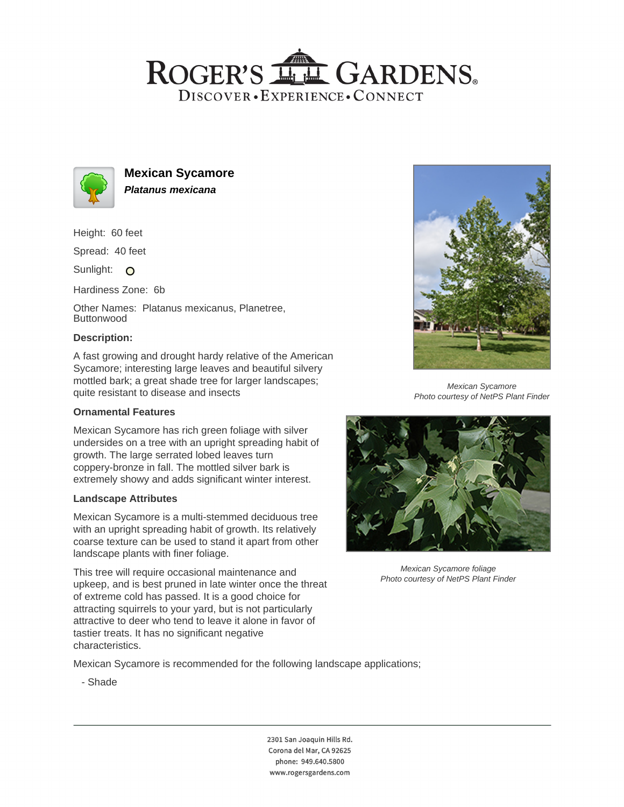# ROGER'S LL GARDENS. DISCOVER · EXPERIENCE · CONNECT



**Mexican Sycamore Platanus mexicana**

Height: 60 feet

Spread: 40 feet

Sunlight: O

Hardiness Zone: 6b

Other Names: Platanus mexicanus, Planetree, **Buttonwood** 

# **Description:**

A fast growing and drought hardy relative of the American Sycamore; interesting large leaves and beautiful silvery mottled bark; a great shade tree for larger landscapes; quite resistant to disease and insects

# **Ornamental Features**

Mexican Sycamore has rich green foliage with silver undersides on a tree with an upright spreading habit of growth. The large serrated lobed leaves turn coppery-bronze in fall. The mottled silver bark is extremely showy and adds significant winter interest.

#### **Landscape Attributes**

Mexican Sycamore is a multi-stemmed deciduous tree with an upright spreading habit of growth. Its relatively coarse texture can be used to stand it apart from other landscape plants with finer foliage.

This tree will require occasional maintenance and upkeep, and is best pruned in late winter once the threat of extreme cold has passed. It is a good choice for attracting squirrels to your yard, but is not particularly attractive to deer who tend to leave it alone in favor of tastier treats. It has no significant negative characteristics.



Mexican Sycamore Photo courtesy of NetPS Plant Finder



Mexican Sycamore foliage Photo courtesy of NetPS Plant Finder

Mexican Sycamore is recommended for the following landscape applications;

- Shade

2301 San Joaquin Hills Rd. Corona del Mar, CA 92625 phone: 949.640.5800 www.rogersgardens.com